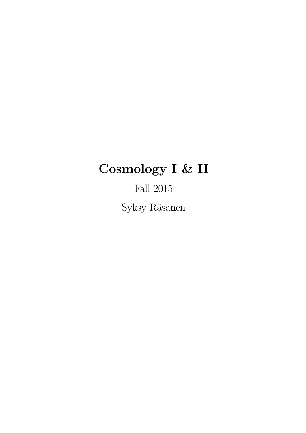# Cosmology I & II

Fall 2015  $\mathop{\mathrm{Syksy}}$ Räsänen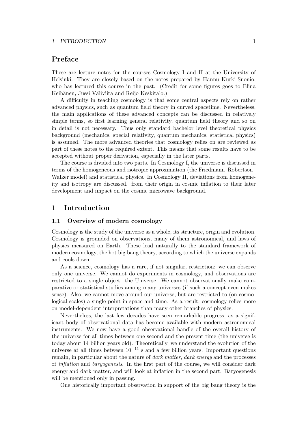# Preface

These are lecture notes for the courses Cosmology I and II at the University of Helsinki. They are closely based on the notes prepared by Hannu Kurki-Suonio, who has lectured this course in the past. (Credit for some figures goes to Elina Keihänen, Jussi Väliviita and Reijo Keskitalo.)

A difficulty in teaching cosmology is that some central aspects rely on rather advanced physics, such as quantum field theory in curved spacetime. Nevertheless, the main applications of these advanced concepts can be discussed in relatively simple terms, so first learning general relativity, quantum field theory and so on in detail is not necessary. Thus only standard bachelor level theoretical physics background (mechanics, special relativity, quantum mechanics, statistical physics) is assumed. The more advanced theories that cosmology relies on are reviewed as part of these notes to the required extent. This means that some results have to be accepted without proper derivation, especially in the later parts.

The course is divided into two parts. In Cosmology I, the universe is discussed in terms of the homogeneous and isotropic approximation (the Friedmann–Robertson– Walker model) and statistical physics. In Cosmology II, deviations from homogeneity and isotropy are discussed. from their origin in cosmic inflation to their later development and impact on the cosmic microwave background.

# 1 Introduction

# 1.1 Overview of modern cosmology

Cosmology is the study of the universe as a whole, its structure, origin and evolution. Cosmology is grounded on observations, many of them astronomical, and laws of physics measured on Earth. These lead naturally to the standard framework of modern cosmology, the hot big bang theory, according to which the universe expands and cools down.

As a science, cosmology has a rare, if not singular, restriction: we can observe only one universe. We cannot do experiments in cosmology, and observations are restricted to a single object: the Universe. We cannot observationally make comparative or statistical studies among many universes (if such a concept even makes sense). Also, we cannot move around our universe, but are restricted to (on cosmological scales) a single point in space and time. As a result, cosmology relies more on model-dependent interpretations than many other branches of physics.

Nevertheless, the last few decades have seen remarkable progress, as a significant body of observational data has become available with modern astronomical instruments. We now have a good observational handle of the overall history of the universe for all times between one second and the present time (the universe is today about 14 billion years old). Theoretically, we understand the evolution of the universe at all times between  $10^{-11}$  s and a few billion years. Important questions remain, in particular about the nature of dark matter, dark energy and the processes of inflation and baryogenesis. In the first part of the course, we will consider dark energy and dark matter, and will look at inflation in the second part. Baryogenesis will be mentioned only in passing.

One historically important observation in support of the big bang theory is the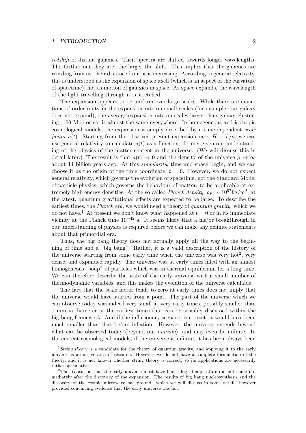redshift of distant galaxies. Their spectra are shifted towards longer wavelengths. The further out they are, the larger the shift. This implies that the galaxies are receding from us; their distance from us is increasing. According to general relativity, this is understood as the expansion of space itself (which is an aspect of the curvature of spacetime), not as motion of galaxies in space. As space expands, the wavelength of the light travelling through it is stretched.

The expansion appears to be uniform over large scales. While there are deviations of order unity in the expansion rate on small scales (for example, our galaxy does not expand), the average expansion rate on scales larger than galaxy clustering, 100 Mpc or so, is almost the same everywhere. In homogeneous and isotropic cosmological models, the expansion is simply described by a time-dependent scale factor  $a(t)$ . Starting from the observed present expansion rate,  $H \equiv \dot{a}/a$ , we can use general relativity to calculate  $a(t)$  as a function of time, given our understanding of the physics of the matter content in the universe. (We will discuss this in detail later.) The result is that  $a(t) \to 0$  and the density of the universe  $\rho \to \infty$ about 14 billion years ago. At this singularity, time and space begin, and we can choose it as the origin of the time coordinate,  $t = 0$ . However, we do not expect general relativity, which governs the evolution of spacetime, nor the Standard Model of particle physics, which governs the behaviour of matter, to be applicable at extremely high energy densities. At the so called *Planck density*,  $\rho_{\text{Pl}} \sim 10^{97} \text{kg/m}^3$ , at the latest, quantum gravitational effects are expected to be large. To describe the earliest times, the Planck era, we would need a theory of quantum gravity, which we do not have.<sup>1</sup> At present we don't know what happened at  $t = 0$  or in its immediate vicinity at the Planck time  $10^{-42}$  s. It seems likely that a major breakthrough in our understanding of physics is required before we can make any definite statements about that primordial era.

Thus, the big bang theory does not actually apply all the way to the beginning of time and a "big bang". Rather, it is a valid description of the history of the universe starting from some early time when the universe was very  $hot<sup>2</sup>$ , very dense, and expanded rapidly. The universe was at early times filled with an almost homogeneous "soup" of particles which was in thermal equilibrium for a long time. We can therefore describe the state of the early universe with a small number of thermodynamic variables, and this makes the evolution of the universe calculable.

The fact that the scale factor tends to zero at early times does not imply that the universe would have started from a point. The part of the universe which we can observe today was indeed very small at very early times, possibly smaller than 1 mm in diameter at the earliest times that can be sensibly discussed within the big bang framework. And if the inflationary scenario is correct, it would have been much smaller than that before inflation. However, the universe extends beyond what can be observed today (beyond our *horizon*), and may even be infinite. In the current cosmological models, if the universe is infinite, it has been always been

<sup>&</sup>lt;sup>1</sup> String theory is a candidate for the theory of quantum gravity, and applying it to the early universe is an active area of research. However, we do not have a complete formulation of the theory, and it is not known whether string theory is correct, so its applications are necessarily rather speculative.

<sup>&</sup>lt;sup>2</sup>The realisation that the early universe must have had a high temperature did not come immediately after the discovery of the expansion. The results of big bang nucleosynthesis and the discovery of the cosmic microwave background –which we will discuss in some detail– however provided convincing evidence that the early universe was hot.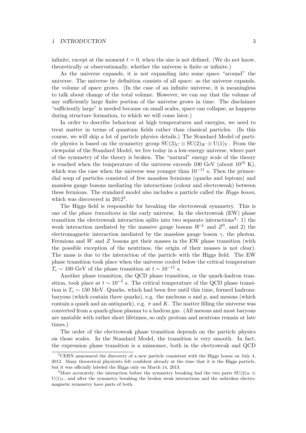infinite, except at the moment  $t = 0$ , when the size is not defined. (We do not know, theoretically or observationally, whether the universe is finite or infinite.)

As the universe expands, it is not expanding into some space "around" the universe. The universe by definition consists of all space: as the universe expands, the volume of space grows. (In the case of an infinite universe, it is meaningless to talk about change of the total volume. However, we can say that the volume of any sufficiently large finite portion of the universe grows in time. The disclaimer "sufficiently large" is needed because on small scales, space can collapse, as happens during structure formation, to which we will come later.)

In order to describe behaviour at high temperatures and energies, we need to treat matter in terms of quantum fields rather than classical particles. (In this course, we will skip a lot of particle physics details.) The Standard Model of particle physics is based on the symmetry group  $SU(3)<sub>C</sub> \otimes SU(2)<sub>W</sub> \otimes U(1)<sub>Y</sub>$ . From the viewpoint of the Standard Model, we live today in a low-energy universe, where part of the symmetry of the theory is broken. The "natural" energy scale of the theory is reached when the temperature of the universe exceeds 100 GeV (about  $10^{15}$  K), which was the case when the universe was younger than  $10^{-11}$  s. Then the primordial soup of particles consisted of free massless fermions (quarks and leptons) and massless gauge bosons mediating the interactions (colour and electroweak) between these fermions. The standard model also includes a particle called the Higgs boson, which was discovered in  $2012^3$ .

The Higgs field is responsible for breaking the electroweak symmetry. This is one of the phase transitions in the early universe. In the electroweak (EW) phase transition the electroweak interaction splits into two separate interactions<sup>4</sup>: 1) the weak interaction mediated by the massive gauge bosons  $W^{\pm}$  and  $Z^{0}$ , and 2) the electromagnetic interaction mediated by the massless gauge boson  $\gamma$ , the photon. Fermions and W and Z bosons get their masses in the EW phase transition (with the possible exception of the neutrinos, the origin of their masses is not clear). The mass is due to the interaction of the particle with the Higgs field. The EW phase transition took place when the universe cooled below the critical temperature  $T_c \sim 100 \text{ GeV}$  of the phase transition at  $t \sim 10^{-11} \text{ s}.$ 

Another phase transition, the QCD phase transition, or the quark-hadron transition, took place at  $t \sim 10^{-5}$  s. The critical temperature of the QCD phase transition is  $T_c \sim 150$  MeV. Quarks, which had been free until this time, formed hadrons: baryons (which contain three quarks), e.g. the nucleons n and p, and mesons (which contain a quark and an antiquark), e.g.  $\pi$  and K. The matter filling the universe was converted from a quark-gluon plasma to a hadron gas. (All mesons and most baryons are unstable with rather short lifetimes, so only protons and neutrons remain at late times.)

The order of the electroweak phase transition depends on the particle physics on those scales. In the Standard Model, the transition is very smooth. In fact, the expression phase transition is a misnomer, both in the electroweak and QCD

<sup>3</sup>CERN announced the discovery of a new particle consistent with the Higgs boson on July 4, 2012. Many theoretical physicists felt confident already at the time that it is the Higgs particle, but it was officially labeled the Higgs only on March 14, 2013.

<sup>&</sup>lt;sup>4</sup>More accurately, the interaction before the symmetry breaking had the two parts  $SU(2)_W \otimes$  $U(1)<sub>Y</sub>$ , and after the symmetry breaking the broken weak interactions and the unbroken electromagnetic symmetry have parts of both.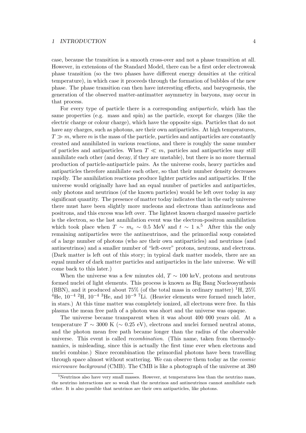case, because the transition is a smooth cross-over and not a phase transition at all. However, in extensions of the Standard Model, there can be a first order electroweak phase transition (so the two phases have different energy densities at the critical temperature), in which case it proceeds through the formation of bubbles of the new phase. The phase transition can then have interesting effects, and baryogenesis, the generation of the observed matter-antimatter asymmetry in baryons, may occur in that process.

For every type of particle there is a corresponding antiparticle, which has the same properties (e.g. mass and spin) as the particle, except for charges (like the electric charge or colour charge), which have the opposite sign. Particles that do not have any charges, such as photons, are their own antiparticles. At high temperatures,  $T \gg m$ , where m is the mass of the particle, particles and antiparticles are constantly created and annihilated in various reactions, and there is roughly the same number of particles and antiparticles. When  $T \ll m$ , particles and antiparticles may still annihilate each other (and decay, if they are unstable), but there is no more thermal production of particle-antiparticle pairs. As the universe cools, heavy particles and antiparticles therefore annihilate each other, so that their number density decreases rapidly. The annihilation reactions produce lighter particles and antiparticles. If the universe would originally have had an equal number of particles and antiparticles, only photons and neutrinos (of the known particles) would be left over today in any significant quantity. The presence of matter today indicates that in the early universe there must have been slightly more nucleons and electrons than antinucleons and positrons, and this excess was left over. The lightest known charged massive particle is the electron, so the last annihilation event was the electron-positron annihilation which took place when  $T \sim m_e \sim 0.5$  MeV and  $t \sim 1 \text{ s}^{5}$ . After this the only remaining antiparticles were the antineutrinos, and the primordial soup consisted of a large number of photons (who are their own antiparticles) and neutrinos (and antineutrinos) and a smaller number of "left-over" protons, neutrons, and electrons. (Dark matter is left out of this story; in typical dark matter models, there are an equal number of dark matter particles and antiparticles in the late universe. We will come back to this later.)

When the universe was a few minutes old,  $T \sim 100$  keV, protons and neutrons formed nuclei of light elements. This process is known as Big Bang Nucleosynthesis (BBN), and it produced about 75% (of the total mass in ordinary matter)  ${}^{1}H$ , 25% <sup>4</sup>He,  $10^{-4}$  <sup>2</sup>H,  $10^{-4}$  <sup>3</sup>He, and  $10^{-9}$  <sup>7</sup>Li. (Heavier elements were formed much later, in stars.) At this time matter was completely ionized, all electrons were free. In this plasma the mean free path of a photon was short and the universe was opaque.

The universe became transparent when it was about 400 000 years old. At a temperature  $T \sim 3000 \text{ K } (\sim 0.25 \text{ eV})$ , electrons and nuclei formed neutral atoms, and the photon mean free path became longer than the radius of the observable universe. This event is called recombination. (This name, taken from thermodynamics, is misleading, since this is actually the first time ever when electrons and nuclei combine.) Since recombination the primordial photons have been travelling through space almost without scattering. We can observe them today as the cosmic microwave background (CMB). The CMB is like a photograph of the universe at 380

 $5$ Neutrinos also have very small masses. However, at temperatures less than the neutrino mass, the neutrino interactions are so weak that the neutrinos and antineutrinos cannot annihilate each other. It is also possible that neutrinos are their own antiparticles, like photons.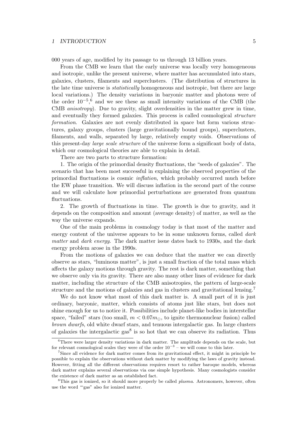000 years of age, modified by its passage to us through 13 billion years.

From the CMB we learn that the early universe was locally very homogeneous and isotropic, unlike the present universe, where matter has accumulated into stars, galaxies, clusters, filaments and superclusters. (The distribution of structures in the late time universe is statistically homogeneous and isotropic, but there are large local variations.) The density variations in baryonic matter and photons were of the order  $10^{-5}$ ,<sup>6</sup> and we see these as small intensity variations of the CMB (the CMB anisotropy). Due to gravity, slight overdensities in the matter grew in time, and eventually they formed galaxies. This process is called cosmological structure formation. Galaxies are not evenly distributed in space but form various structures, galaxy groups, clusters (large gravitationally bound groups), superclusters, filaments, and walls, separated by large, relatively empty voids. Observations of this present-day large scale structure of the universe form a significant body of data, which our cosmological theories are able to explain in detail.

There are two parts to structure formation:

1. The origin of the primordial density fluctuations, the "seeds of galaxies". The scenario that has been most successful in explaining the observed properties of the primordial fluctuations is cosmic inflation, which probably occurred much before the EW phase transition. We will discuss inflation in the second part of the course and we will calculate how primordial perturbations are generated from quantum fluctuations.

2. The growth of fluctuations in time. The growth is due to gravity, and it depends on the composition and amount (average density) of matter, as well as the way the universe expands.

One of the main problems in cosmology today is that most of the matter and energy content of the universe appears to be in some unknown forms, called *dark* matter and dark energy. The dark matter issue dates back to 1930s, and the dark energy problem arose in the 1990s.

From the motions of galaxies we can deduce that the matter we can directly observe as stars, "luminous matter", is just a small fraction of the total mass which affects the galaxy motions through gravity. The rest is dark matter, something that we observe only via its gravity. There are also many other lines of evidence for dark matter, including the structure of the CMB anisotropies, the pattern of large-scale structure and the motions of galaxies and gas in clusters and gravitational lensing.<sup>7</sup>

We do not know what most of this dark matter is. A small part of it is just ordinary, baryonic, matter, which consists of atoms just like stars, but does not shine enough for us to notice it. Possibilities include planet-like bodies in interstellar space, "failed" stars (too small,  $m < 0.07m_{\odot}$ , to ignite thermonuclear fusion) called brown dwarfs, old white dwarf stars, and tenuous intergalactic gas. In large clusters of galaxies the intergalactic  $\text{gas}^8$  is so hot that we can observe its radiation. Thus

 $6$ There were larger density variations in dark matter. The amplitude depends on the scale, but for relevant cosmological scales they were of the order  $10^{-3}$  – we will come to this later.

<sup>&</sup>lt;sup>7</sup>Since all evidence for dark matter comes from its gravitational effect, it might in principle be possible to explain the observations without dark matter by modifying the laws of gravity instead. However, fitting all the different observations requires resort to rather baroque models, whereas dark matter explains several observations via one simple hypothesis. Many cosmologists consider the existence of dark matter as an established fact.

 ${}^{8}$ This gas is ionized, so it should more properly be called *plasma*. Astronomers, however, often use the word "'gas" also for ionized matter.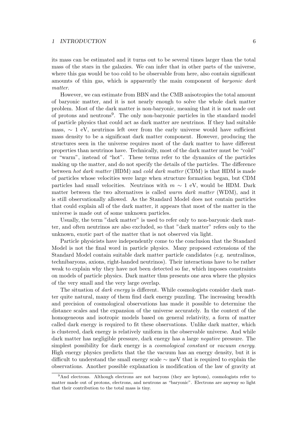its mass can be estimated and it turns out to be several times larger than the total mass of the stars in the galaxies. We can infer that in other parts of the universe, where this gas would be too cold to be observable from here, also contain significant amounts of thin gas, which is apparently the main component of *baryonic dark* matter.

However, we can estimate from BBN and the CMB anisotropies the total amount of baryonic matter, and it is not nearly enough to solve the whole dark matter problem. Most of the dark matter is non-baryonic, meaning that it is not made out of protons and neutrons<sup>9</sup>. The only non-baryonic particles in the standard model of particle physics that could act as dark matter are neutrinos. If they had suitable mass,  $\sim 1$  eV, neutrinos left over from the early universe would have sufficient mass density to be a significant dark matter component. However, producing the structures seen in the universe requires most of the dark matter to have different properties than neutrinos have. Technically, most of the dark matter must be "cold" or "warm", instead of "hot". These terms refer to the dynamics of the particles making up the matter, and do not specify the details of the particles. The difference between hot dark matter (HDM) and cold dark matter (CDM) is that HDM is made of particles whose velocities were large when structure formation began, but CDM particles had small velocities. Neutrinos with  $m \sim 1$  eV, would be HDM. Dark matter between the two alternatives is called *warm dark matter* (WDM), and it is still observationally allowed. As the Standard Model does not contain particles that could explain all of the dark matter, it appears that most of the matter in the universe is made out of some unknown particles.

Usually, the term "dark matter" is used to refer only to non-baryonic dark matter, and often neutrinos are also excluded, so that "dark matter" refers only to the unknown, exotic part of the matter that is not observed via light.

Particle physicists have independently come to the conclusion that the Standard Model is not the final word in particle physics. Many proposed extensions of the Standard Model contain suitable dark matter particle candidates (e.g. neutralinos, technibaryons, axions, right-handed neutrinos). Their interactions have to be rather weak to explain why they have not been detected so far, which imposes constraints on models of particle physics. Dark matter thus presents one area where the physics of the very small and the very large overlap.

The situation of *dark energy* is different. While cosmologists consider dark matter quite natural, many of them find dark energy puzzling. The increasing breadth and precision of cosmological observations has made it possible to determine the distance scales and the expansion of the universe accurately. In the context of the homogeneous and isotropic models based on general relativity, a form of matter called dark energy is required to fit these observations. Unlike dark matter, which is clustered, dark energy is relatively uniform in the observable universe. And while dark matter has negligible pressure, dark energy has a large negative pressure. The simplest possibility for dark energy is a *cosmological constant* or *vacuum energy*. High energy physics predicts that the the vacuum has an energy density, but it is difficult to understand the small energy scale ∼ meV that is required to explain the observations. Another possible explanation is modification of the law of gravity at

<sup>&</sup>lt;sup>9</sup>And electrons. Although electrons are not baryons (they are leptons), cosmologists refer to matter made out of protons, electrons, and neutrons as "baryonic". Electrons are anyway so light that their contribution to the total mass is tiny.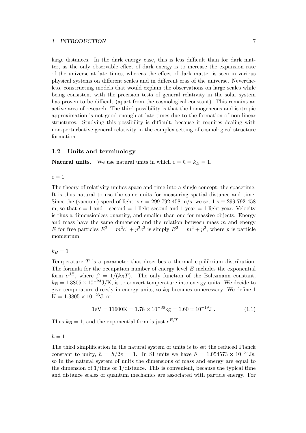large distances. In the dark energy case, this is less difficult than for dark matter, as the only observable effect of dark energy is to increase the expansion rate of the universe at late times, whereas the effect of dark matter is seen in various physical systems on different scales and in different eras of the universe. Nevertheless, constructing models that would explain the observations on large scales while being consistent with the precision tests of general relativity in the solar system has proven to be difficult (apart from the cosmological constant). This remains an active area of research. The third possibility is that the homogeneous and isotropic approximation is not good enough at late times due to the formation of non-linear structures. Studying this possibility is difficult, because it requires dealing with non-perturbative general relativity in the complex setting of cosmological structure formation.

# 1.2 Units and terminology

**Natural units.** We use natural units in which  $c = \hbar = k_B = 1$ .

 $c=1$ 

The theory of relativity unifies space and time into a single concept, the spacetime. It is thus natural to use the same units for measuring spatial distance and time. Since the (vacuum) speed of light is  $c = 299\,792\,458\,\mathrm{m/s}$ , we set  $1 \mathrm{s} \equiv 299\,792\,458$ m, so that  $c = 1$  and 1 second  $= 1$  light second and 1 year  $= 1$  light year. Velocity is thus a dimensionless quantity, and smaller than one for massive objects. Energy and mass have the same dimension and the relation between mass  $m$  and energy E for free particles  $E^2 = m^2c^4 + p^2c^2$  is simply  $E^2 = m^2 + p^2$ , where p is particle momentum.

 $k_B = 1$ 

Temperature T is a parameter that describes a thermal equilibrium distribution. The formula for the occupation number of energy level  $E$  includes the exponential form  $e^{\beta E}$ , where  $\beta = 1/(k_B T)$ . The only function of the Boltzmann constant,  $k_B = 1.3805 \times 10^{-23} \text{J/K}$ , is to convert temperature into energy units. We decide to give temperature directly in energy units, so  $k_B$  becomes unnecessary. We define 1  $K = 1.3805 \times 10^{-23}$ J, or

$$
1 \text{eV} = 11600 \text{K} = 1.78 \times 10^{-36} \text{kg} = 1.60 \times 10^{-19} \text{J} \,. \tag{1.1}
$$

Thus  $k_B = 1$ , and the exponential form is just  $e^{E/T}$ .

 $\hbar = 1$ 

The third simplification in the natural system of units is to set the reduced Planck constant to unity,  $\hbar = h/2\pi = 1$ . In SI units we have  $\hbar = 1.054573 \times 10^{-34}$  Js, so in the natural system of units the dimensions of mass and energy are equal to the dimension of  $1/t$ ime or  $1/d$ istance. This is convenient, because the typical time and distance scales of quantum mechanics are associated with particle energy. For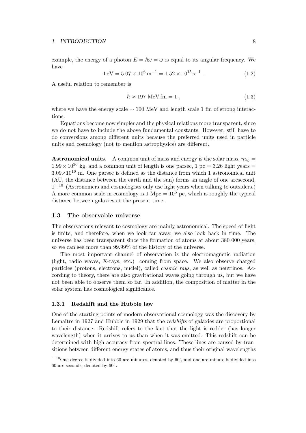example, the energy of a photon  $E = \hbar \omega = \omega$  is equal to its angular frequency. We have

$$
1 \,\mathrm{eV} = 5.07 \times 10^6 \,\mathrm{m}^{-1} = 1.52 \times 10^{15} \,\mathrm{s}^{-1} \,. \tag{1.2}
$$

A useful relation to remember is

$$
\hbar \approx 197 \text{ MeV fm} = 1 , \qquad (1.3)
$$

where we have the energy scale ∼ 100 MeV and length scale 1 fm of strong interactions.

Equations become now simpler and the physical relations more transparent, since we do not have to include the above fundamental constants. However, still have to do conversions among different units because the preferred units used in particle units and cosmology (not to mention astrophysics) are different.

**Astronomical units.** A common unit of mass and energy is the solar mass,  $m_{\odot} =$  $1.99 \times 10^{30}$  kg, and a common unit of length is one parsec, 1 pc = 3.26 light years =  $3.09\times10^{16}$  m. One parsec is defined as the distance from which 1 astronomical unit (AU, the distance between the earth and the sun) forms an angle of one arcsecond, 1".<sup>10</sup> (Astronomers and cosmologists only use light years when talking to outsiders.) A more common scale in cosmology is  $1 \text{ Mpc} = 10^6 \text{ pc}$ , which is roughly the typical distance between galaxies at the present time.

# 1.3 The observable universe

The observations relevant to cosmology are mainly astronomical. The speed of light is finite, and therefore, when we look far away, we also look back in time. The universe has been transparent since the formation of atoms at about 380 000 years, so we can see more than 99.99% of the history of the universe.

The most important channel of observation is the electromagnetic radiation (light, radio waves, X-rays, etc.) coming from space. We also observe charged particles (protons, electrons, nuclei), called cosmic rays, as well as neutrinos. According to theory, there are also gravitational waves going through us, but we have not been able to observe them so far. In addition, the composition of matter in the solar system has cosmological significance.

#### 1.3.1 Redshift and the Hubble law

One of the starting points of modern observational cosmology was the discovery by Lemaître in 1927 and Hubble in 1929 that the *redshifts* of galaxies are proportional to their distance. Redshift refers to the fact that the light is redder (has longer wavelength) when it arrives to us than when it was emitted. This redshift can be determined with high accuracy from spectral lines. These lines are caused by transitions between different energy states of atoms, and thus their original wavelengths

 $10$ One degree is divided into 60 arc minutes, denoted by 60', and one arc minute is divided into 60 arc seconds, denoted by 60".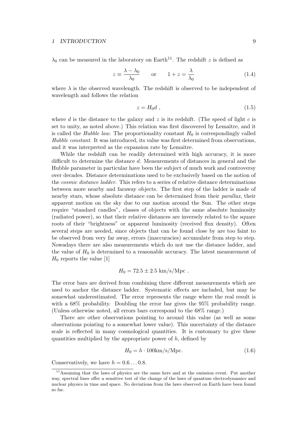$\lambda_0$  can be measured in the laboratory on Earth<sup>11</sup>. The redshift z is defined as

$$
z \equiv \frac{\lambda - \lambda_0}{\lambda_0} \qquad \text{or} \qquad 1 + z = \frac{\lambda}{\lambda_0} \tag{1.4}
$$

where  $\lambda$  is the observed wavelength. The redshift is observed to be independent of wavelength and follows the relation

$$
z = H_0 d \t{1.5}
$$

where d is the distance to the galaxy and z is its redshift. (The speed of light c is set to unity, as noted above.) This relation was first discovered by Lemaître, and it is called the *Hubble law*. The proportionality constant  $H_0$  is correspondingly called Hubble constant. It was introduced, its value was first determined from observations, and it was interpreted as the expansion rate by Lemaître.

While the redshift can be readily determined with high accuracy, it is more difficult to determine the distance d. Measurements of distances in general and the Hubble parameter in particular have been the subject of much work and controversy over decades. Distance determinations used to be exclusively based on the notion of the cosmic distance ladder. This refers to a series of relative distance determinations between more nearby and faraway objects. The first step of the ladder is made of nearby stars, whose absolute distance can be determined from their parallax, their apparent motion on the sky due to our motion around the Sun. The other steps require "standard candles", classes of objects with the same absolute luminosity (radiated power), so that their relative distances are inversely related to the square roots of their "brightness" or apparent luminosity (received flux density). Often several steps are needed, since objects that can be found close by are too faint to be observed from very far away, errors (inaccuracies) accumulate from step to step. Nowadays there are also measurements which do not use the distance ladder, and the value of  $H_0$  is determined to a reasonable accuracy. The latest measurement of  $H_0$  reports the value [1]

$$
H_0 = 72.5 \pm 2.5
$$
 km/s/Mpc.

The error bars are derived from combining three different measurements which are used to anchor the distance ladder. Systematic effects are included, but may be somewhat underestimated. The error represents the range where the real result is with a 68% probability. Doubling the error bar gives the 95% probability range. (Unless otherwise noted, all errors bars correspond to the 68% range.)

There are other observations pointing to around this value (as well as some observations pointing to a somewhat lower value). This uncertainty of the distance scale is reflected in many cosmological quantities. It is customary to give these quantities multiplied by the appropriate power of  $h$ , defined by

$$
H_0 = h \cdot 100 \text{km/s/Mpc.}
$$
 (1.6)

Conservatively, we have  $h = 0.6 \dots 0.8$ .

<sup>11</sup>Assuming that the laws of physics are the same here and at the emission event. Put another way, spectral lines offer a sensitive test of the change of the laws of quantum electrodynamics and nuclear physics in time and space. No deviations from the laws observed on Earth have been found so far.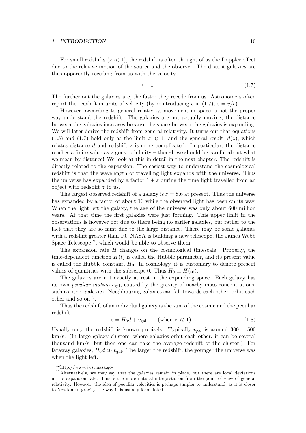For small redshifts  $(z \ll 1)$ , the redshift is often thought of as the Doppler effect due to the relative motion of the source and the observer. The distant galaxies are thus apparently receding from us with the velocity

$$
v = z \tag{1.7}
$$

The further out the galaxies are, the faster they recede from us. Astronomers often report the redshift in units of velocity (by reintroducing c in (1.7),  $z = v/c$ .

However, according to general relativity, movement in space is not the proper way understand the redshift. The galaxies are not actually moving, the distance between the galaxies increases because the space between the galaxies is expanding. We will later derive the redshift from general relativity. It turns out that equations (1.5) and (1.7) hold only at the limit  $z \ll 1$ , and the general result,  $d(z)$ , which relates distance d and redshift  $z$  is more complicated. In particular, the distance reaches a finite value as z goes to infinity – though we should be careful about what we mean by distance! We look at this in detail in the next chapter. The redshift is directly related to the expansion. The easiest way to understand the cosmological redshift is that the wavelength of travelling light expands with the universe. Thus the universe has expanded by a factor  $1 + z$  during the time light travelled from an object with redshift z to us.

The largest observed redshift of a galaxy is  $z = 8.6$  at present. Thus the universe has expanded by a factor of about 10 while the observed light has been on its way. When the light left the galaxy, the age of the universe was only about 600 million years. At that time the first galaxies were just forming. This upper limit in the observations is however not due to there being no earlier galaxies, but rather to the fact that they are so faint due to the large distance. There may be some galaxies with a redshift greater than 10. NASA is building a new telescope, the James Webb Space Telescope<sup>12</sup>, which would be able to observe them.

The expansion rate  $H$  changes on the cosmological timescale. Properly, the time-dependent function  $H(t)$  is called the Hubble parameter, and its present value is called the Hubble constant,  $H_0$ . In cosmology, it is customary to denote present values of quantities with the subscript 0. Thus  $H_0 \equiv H(t_0)$ .

The galaxies are not exactly at rest in the expanding space. Each galaxy has its own *peculiar motion*  $v_{\text{gal}}$ , caused by the gravity of nearby mass concentrations, such as other galaxies. Neighbouring galaxies can fall towards each other, orbit each other and so  $\text{on}^{13}$ .

Thus the redshift of an individual galaxy is the sum of the cosmic and the peculiar redshift.

$$
z = H_0 d + v_{\text{gal}} \qquad \text{(when } z \ll 1) \quad . \tag{1.8}
$$

Usually only the redshift is known precisely. Typically  $v_{\text{gal}}$  is around  $300...500$ km/s. (In large galaxy clusters, where galaxies orbit each other, it can be several thousand km/s; but then one can take the average redshift of the cluster.) For faraway galaxies,  $H_0d \gg v_{\text{gal}}$ . The larger the redshift, the younger the universe was when the light left.

<sup>12</sup>http://www.jwst.nasa.gov

<sup>&</sup>lt;sup>13</sup>Alternatively, we may say that the galaxies remain in place, but there are local deviations in the expansion rate. This is the more natural interpretation from the point of view of general relativity. However, the idea of peculiar velocities is perhaps simpler to understand, as it is closer to Newtonian gravity the way it is usually formulated.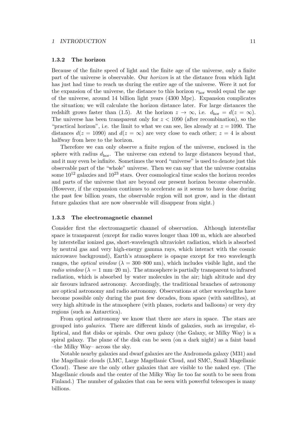#### 1.3.2 The horizon

Because of the finite speed of light and the finite age of the universe, only a finite part of the universe is observable. Our horizon is at the distance from which light has just had time to reach us during the entire age of the universe. Were it not for the expansion of the universe, the distance to this horizon  $r_{\text{hor}}$  would equal the age of the universe, around 14 billion light years (4300 Mpc). Expansion complicates the situation; we will calculate the horizon distance later. For large distances the redshift grows faster than (1.5). At the horizon  $z \to \infty$ , i.e.  $d_{\text{hor}} = d(z = \infty)$ . The universe has been transparent only for  $z < 1090$  (after recombination), so the "practical horizon", i.e. the limit to what we can see, lies already at  $z = 1090$ . The distances  $d(z = 1090)$  and  $d(z = \infty)$  are very close to each other;  $z = 4$  is about halfway from here to the horizon.

Therefore we can only observe a finite region of the universe, enclosed in the sphere with radius  $d_{\text{hor}}$ . The universe can extend to large distances beyond that, and it may even be infinite. Sometimes the word "universe" is used to denote just this observable part of the "whole" universe. Then we can say that the universe contains some  $10^{12}$  galaxies and  $10^{23}$  stars. Over cosmological time scales the horizon recedes and parts of the universe that are beyond our present horizon become observable. (However, if the expansion continues to accelerate as it seems to have done during the past few billion years, the observable region will not grow, and in the distant future galaxies that are now observable will disappear from sight.)

#### 1.3.3 The electromagnetic channel

Consider first the electromagnetic channel of observation. Although interstellar space is transparent (except for radio waves longer than 100 m, which are absorbed by interstellar ionized gas, short-wavelength ultraviolet radiation, which is absorbed by neutral gas and very high-energy gamma rays, which interact with the cosmic microwave background), Earth's atmosphere is opaque except for two wavelength ranges, the *optical window* ( $\lambda = 300-800$  nm), which includes visible light, and the radio window ( $\lambda = 1$  mm–20 m). The atmosphere is partially transparent to infrared radiation, which is absorbed by water molecules in the air; high altitude and dry air favours infrared astronomy. Accordingly, the traditional branches of astronomy are optical astronomy and radio astronomy. Observations at other wavelengths have become possible only during the past few decades, from space (with satellites), at very high altitude in the atmosphere (with planes, rockets and balloons) or very dry regions (such as Antarctica).

From optical astronomy we know that there are *stars* in space. The stars are grouped into galaxies. There are different kinds of galaxies, such as irregular, elliptical, and flat disks or spirals. Our own galaxy (the Galaxy, or Milky Way) is a spiral galaxy. The plane of the disk can be seen (on a dark night) as a faint band –the Milky Way– across the sky.

Notable nearby galaxies and dwarf galaxies are the Andromeda galaxy (M31) and the Magellanic clouds (LMC, Large Magellanic Cloud, and SMC, Small Magellanic Cloud). These are the only other galaxies that are visible to the naked eye. (The Magellanic clouds and the center of the Milky Way lie too far south to be seen from Finland.) The number of galaxies that can be seen with powerful telescopes is many billions.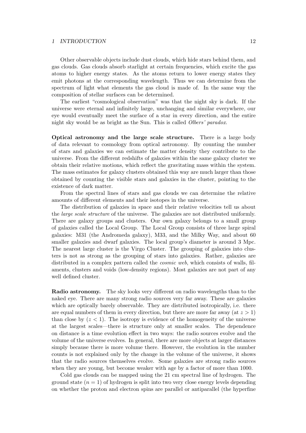Other observable objects include dust clouds, which hide stars behind them, and gas clouds. Gas clouds absorb starlight at certain frequencies, which excite the gas atoms to higher energy states. As the atoms return to lower energy states they emit photons at the corresponding wavelength. Thus we can determine from the spectrum of light what elements the gas cloud is made of. In the same way the composition of stellar surfaces can be determined.

The earliest "cosmological observation" was that the night sky is dark. If the universe were eternal and infinitely large, unchanging and similar everywhere, our eye would eventually meet the surface of a star in every direction, and the entire night sky would be as bright as the Sun. This is called Olbers' paradox.

Optical astronomy and the large scale structure. There is a large body of data relevant to cosmology from optical astronomy. By counting the number of stars and galaxies we can estimate the matter density they contribute to the universe. From the different redshifts of galaxies within the same galaxy cluster we obtain their relative motions, which reflect the gravitating mass within the system. The mass estimates for galaxy clusters obtained this way are much larger than those obtained by counting the visible stars and galaxies in the cluster, pointing to the existence of dark matter.

From the spectral lines of stars and gas clouds we can determine the relative amounts of different elements and their isotopes in the universe.

The distribution of galaxies in space and their relative velocities tell us about the large scale structure of the universe. The galaxies are not distributed uniformly. There are galaxy groups and clusters. Our own galaxy belongs to a small group of galaxies called the Local Group. The Local Group consists of three large spiral galaxies: M31 (the Andromeda galaxy), M33, and the Milky Way, and about 60 smaller galaxies and dwarf galaxies. The local group's diameter is around 3 Mpc. The nearest large cluster is the Virgo Cluster. The grouping of galaxies into clusters is not as strong as the grouping of stars into galaxies. Rather, galaxies are distributed in a complex pattern called the *cosmic web*, which consists of walls, filaments, clusters and voids (low-density regions). Most galaxies are not part of any well defined cluster.

Radio astronomy. The sky looks very different on radio wavelengths than to the naked eye. There are many strong radio sources very far away. These are galaxies which are optically barely observable. They are distributed isotropically, i.e. there are equal numbers of them in every direction, but there are more far away (at  $z > 1$ ) than close by  $(z < 1)$ . The isotropy is evidence of the homogeneity of the universe at the largest scales—there is structure only at smaller scales. The dependence on distance is a time evolution effect in two ways: the radio sources evolve and the volume of the universe evolves. In general, there are more objects at larger distances simply because there is more volume there. However, the evolution in the number counts is not explained only by the change in the volume of the universe, it shows that the radio sources themselves evolve. Some galaxies are strong radio sources when they are young, but become weaker with age by a factor of more than 1000.

Cold gas clouds can be mapped using the 21 cm spectral line of hydrogen. The ground state  $(n = 1)$  of hydrogen is split into two very close energy levels depending on whether the proton and electron spins are parallel or antiparallel (the hyperfine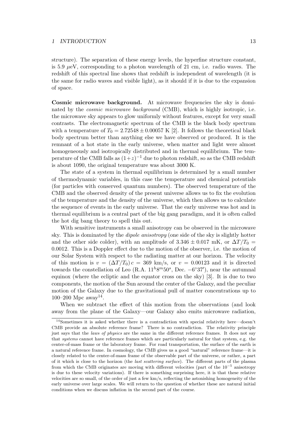structure). The separation of these energy levels, the hyperfine structure constant, is 5.9  $\mu$ eV, corresponding to a photon wavelength of 21 cm, i.e. radio waves. The redshift of this spectral line shows that redshift is independent of wavelength (it is the same for radio waves and visible light), as it should if it is due to the expansion of space.

Cosmic microwave background. At microwave frequencies the sky is dominated by the cosmic microwave background (CMB), which is highly isotropic, i.e. the microwave sky appears to glow uniformly without features, except for very small contrasts. The electromagnetic spectrum of the CMB is the black body spectrum with a temperature of  $T_0 = 2.72548 \pm 0.00057 \text{ K}$  [2]. It follows the theoretical black body spectrum better than anything else we have observed or produced. It is the remnant of a hot state in the early universe, when matter and light were almost homogeneously and isotropically distributed and in thermal equilibrium. The temperature of the CMB falls as  $(1+z)^{-1}$  due to photon redshift, so as the CMB redshift is about 1090, the original temperature was about 3000 K.

The state of a system in thermal equilibrium is determined by a small number of thermodynamic variables, in this case the temperature and chemical potentials (for particles with conserved quantum numbers). The observed temperature of the CMB and the observed density of the present universe allows us to fix the evolution of the temperature and the density of the universe, which then allows us to calculate the sequence of events in the early universe. That the early universe was hot and in thermal equilibrium is a central part of the big gang paradigm, and it is often called the hot dig bang theory to spell this out.

With sensitive instruments a small anisotropy can be observed in the microwave sky. This is dominated by the dipole anisotropy (one side of the sky is slightly hotter and the other side colder), with an amplitude of  $3.346 \pm 0.017$  mK, or  $\Delta T/T_0 =$ 0.0012. This is a Doppler effect due to the motion of the observer, i.e. the motion of our Solar System with respect to the radiating matter at our horizon. The velocity of this motion is  $v = (\Delta T/T_0)c = 369$  km/s, or  $v = 0.00123$  and it is directed towards the constellation of Leo (R.A.  $11^h8^m50^s$ , Dec.  $-6°37'$ ), near the autumnal equinox (where the ecliptic and the equator cross on the sky) [3]. It is due to two components, the motion of the Sun around the center of the Galaxy, and the peculiar motion of the Galaxy due to the gravitational pull of matter concentrations up to 100–200 Mpc away<sup>14</sup>.

When we subtract the effect of this motion from the observations (and look away from the plane of the Galaxy—our Galaxy also emits microwave radiation,

<sup>&</sup>lt;sup>14</sup>Sometimes it is asked whether there is a contradiction with special relativity here—doesn't CMB provide an absolute reference frame? There is no contradiction. The relativity principle just says that the *laws of physics* are the same in the different reference frames. It does not say that systems cannot have reference frames which are particularly natural for that system, e.g. the center-of-mass frame or the laboratory frame. For road transportation, the surface of the earth is a natural reference frame. In cosmology, the CMB gives us a good "natural" reference frame—it is closely related to the center-of-mass frame of the observable part of the universe, or rather, a part of it which is close to the horizon (the last scattering surface). The different parts of the plasma from which the CMB originates are moving with different velocities (part of the 10<sup>-5</sup> anisotropy is due to these velocity variations). If there is something surprising here, it is that these relative velocities are so small, of the order of just a few km/s, reflecting the astonishing homogeneity of the early universe over large scales. We will return to the question of whether these are natural initial conditions when we discuss inflation in the second part of the course.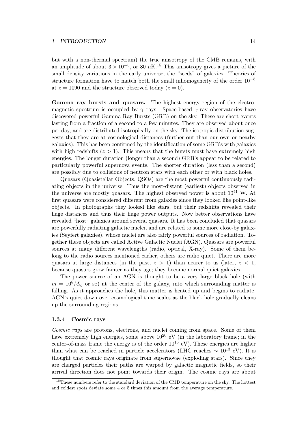but with a non-thermal spectrum) the true anisotropy of the CMB remains, with an amplitude of about  $3 \times 10^{-5}$ , or 80  $\mu$ K.<sup>15</sup> This anisotropy gives a picture of the small density variations in the early universe, the "seeds" of galaxies. Theories of structure formation have to match both the small inhomogeneity of the order  $10^{-5}$ at  $z = 1090$  and the structure observed today  $(z = 0)$ .

Gamma ray bursts and quasars. The highest energy region of the electromagnetic spectrum is occupied by  $\gamma$  rays. Space-based  $\gamma$ -ray observatories have discovered powerful Gamma Ray Bursts (GRB) on the sky. These are short events lasting from a fraction of a second to a few minutes. They are observed about once per day, and are distributed isotropically on the sky. The isotropic distribution suggests that they are at cosmological distances (further out than our own or nearby galaxies). This has been confirmed by the identification of some GRB's with galaxies with high redshifts  $(z > 1)$ . This means that the bursts must have extremely high energies. The longer duration (longer than a second) GRB's appear to be related to particularly powerful supernova events. The shorter duration (less than a second) are possibly due to collisions of neutron stars with each other or with black holes.

Quasars (Quasistellar Objects, QSOs) are the most powerful continuously radiating objects in the universe. Thus the most-distant (earliest) objects observed in the universe are mostly quasars. The highest observed power is about  $10^{41}$  W. At first quasars were considered different from galaxies since they looked like point-like objects. In photographs they looked like stars, but their redshifts revealed their huge distances and thus their huge power outputs. Now better observations have revealed "host" galaxies around several quasars. It has been concluded that quasars are powerfully radiating galactic nuclei, and are related to some more close-by galaxies (Seyfert galaxies), whose nuclei are also fairly powerful sources of radiation. Together these objects are called Active Galactic Nuclei (AGN). Quasars are powerful sources at many different wavelengths (radio, optical, X-ray). Some of them belong to the radio sources mentioned earlier, others are radio quiet. There are more quasars at large distances (in the past,  $z > 1$ ) than nearer to us (later,  $z < 1$ , because quasars grow fainter as they age; they become normal quiet galaxies.

The power source of an AGN is thought to be a very large black hole (with  $m = 10<sup>8</sup>M<sub>o</sub>$  or so) at the center of the galaxy, into which surrounding matter is falling. As it approaches the hole, this matter is heated up and begins to radiate. AGN's quiet down over cosmological time scales as the black hole gradually cleans up the surrounding regions.

# 1.3.4 Cosmic rays

Cosmic rays are protons, electrons, and nuclei coming from space. Some of them have extremely high energies, some above  $10^{20}$  eV (in the laboratory frame; in the center-of-mass frame the energy is of the order  $10^{15}$  eV). These energies are higher than what can be reached in particle accelerators (LHC reaches  $\sim 10^{13}$  eV). It is thought that cosmic rays originate from supernovae (exploding stars). Since they are charged particles their paths are warped by galactic magnetic fields, so their arrival direction does not point towards their origin. The cosmic rays are about

<sup>&</sup>lt;sup>15</sup>These numbers refer to the standard deviation of the CMB temperature on the sky. The hottest and coldest spots deviate some 4 or 5 times this amount from the average temperature.